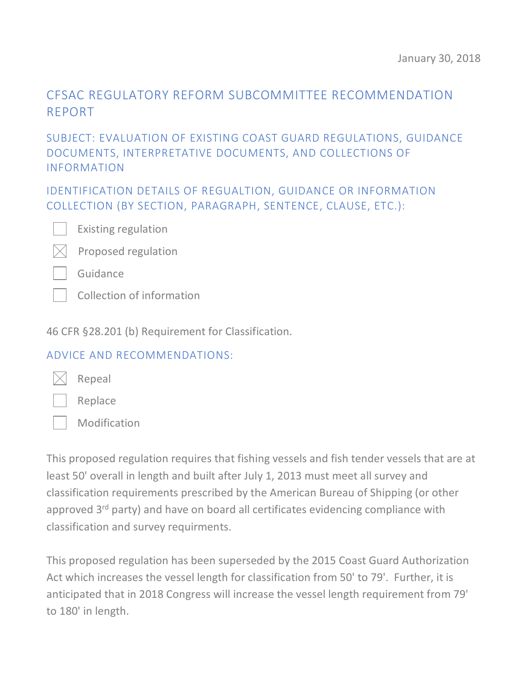# CFSAC REGULATORY REFORM SUBCOMMITTEE RECOMMENDATION REPORT

### SUBJECT: EVALUATION OF EXISTING COAST GUARD REGULATIONS, GUIDANCE DOCUMENTS, INTERPRETATIVE DOCUMENTS, AND COLLECTIONS OF INFORMATION

IDENTIFICATION DETAILS OF REGUALTION, GUIDANCE OR INFORMATION COLLECTION (BY SECTION, PARAGRAPH, SENTENCE, CLAUSE, ETC.):



Existing regulation



Guidance

Collection of information

46 CFR §28.201 (b) Requirement for Classification.

#### ADVICE AND RECOMMENDATIONS:



Replace

Repeal

Modification

This proposed regulation requires that fishing vessels and fish tender vessels that are at least 50' overall in length and built after July 1, 2013 must meet all survey and classification requirements prescribed by the American Bureau of Shipping (or other approved 3<sup>rd</sup> party) and have on board all certificates evidencing compliance with classification and survey requirments.

This proposed regulation has been superseded by the 2015 Coast Guard Authorization Act which increases the vessel length for classification from 50' to 79'. Further, it is anticipated that in 2018 Congress will increase the vessel length requirement from 79' to 180' in length.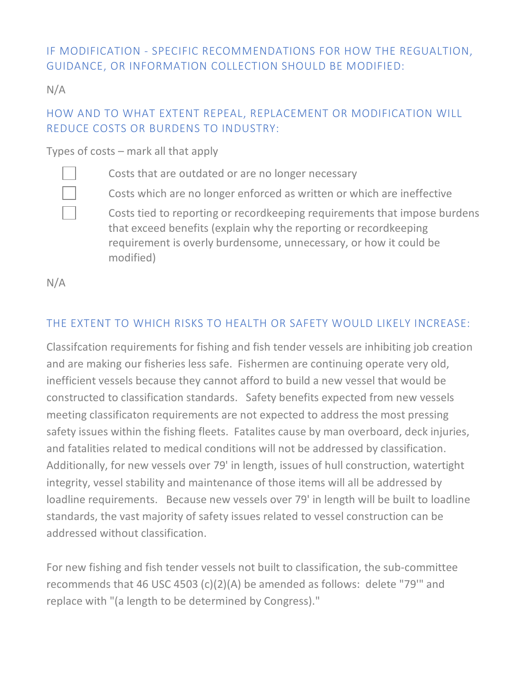## IF MODIFICATION - SPECIFIC RECOMMENDATIONS FOR HOW THE REGUALTION, GUIDANCE, OR INFORMATION COLLECTION SHOULD BE MODIFIED:

N/A

#### HOW AND TO WHAT EXTENT REPEAL, REPLACEMENT OR MODIFICATION WILL REDUCE COSTS OR BURDENS TO INDUSTRY:

Types of costs – mark all that apply



Costs that are outdated or are no longer necessary

Costs which are no longer enforced as written or which are ineffective

Costs tied to reporting or recordkeeping requirements that impose burdens that exceed benefits (explain why the reporting or recordkeeping requirement is overly burdensome, unnecessary, or how it could be modified)

N/A

# THE EXTENT TO WHICH RISKS TO HEALTH OR SAFETY WOULD LIKELY INCREASE:

Classifcation requirements for fishing and fish tender vessels are inhibiting job creation and are making our fisheries less safe. Fishermen are continuing operate very old, inefficient vessels because they cannot afford to build a new vessel that would be constructed to classification standards. Safety benefits expected from new vessels meeting classificaton requirements are not expected to address the most pressing safety issues within the fishing fleets. Fatalites cause by man overboard, deck injuries, and fatalities related to medical conditions will not be addressed by classification. Additionally, for new vessels over 79' in length, issues of hull construction, watertight integrity, vessel stability and maintenance of those items will all be addressed by loadline requirements. Because new vessels over 79' in length will be built to loadline standards, the vast majority of safety issues related to vessel construction can be addressed without classification.

For new fishing and fish tender vessels not built to classification, the sub-committee recommends that 46 USC 4503 (c)(2)(A) be amended as follows: delete "79'" and replace with "(a length to be determined by Congress)."